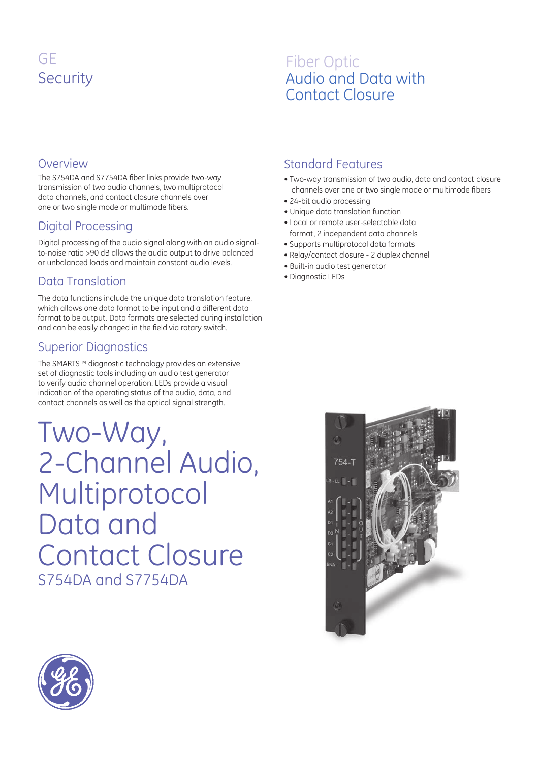# GE **Security**

## Fiber Optic Audio and Data with Contact Closure

#### Overview

The S754DA and S7754DA fiber links provide two-way transmission of two audio channels, two multiprotocol data channels, and contact closure channels over one or two single mode or multimode fibers.

### Digital Processing

Digital processing of the audio signal along with an audio signalto-noise ratio >90 dB allows the audio output to drive balanced or unbalanced loads and maintain constant audio levels.

### Data Translation

The data functions include the unique data translation feature, which allows one data format to be input and a different data format to be output. Data formats are selected during installation and can be easily changed in the field via rotary switch.

#### Superior Diagnostics

The SMARTS™ diagnostic technology provides an extensive set of diagnostic tools including an audio test generator to verify audio channel operation. LEDs provide a visual indication of the operating status of the audio, data, and contact channels as well as the optical signal strength.

S754DA and S7754DA Two-Way, 2-Channel Audio, Multiprotocol Data and Contact Closure

#### Standard Features

- Two-way transmission of two audio, data and contact closure channels over one or two single mode or multimode fibers
- 24-bit audio processing
- Unique data translation function
- Local or remote user-selectable data format, 2 independent data channels
- Supports multiprotocol data formats
- Relay/contact closure 2 duplex channel
- Built-in audio test generator
- Diagnostic LEDs